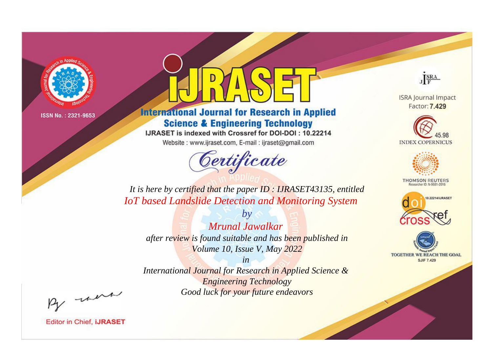

# **International Journal for Research in Applied Science & Engineering Technology**

IJRASET is indexed with Crossref for DOI-DOI: 10.22214

Website: www.ijraset.com, E-mail: ijraset@gmail.com



JERA

**ISRA Journal Impact** Factor: 7.429





**THOMSON REUTERS** 



TOGETHER WE REACH THE GOAL **SJIF 7.429** 

*It is here by certified that the paper ID : IJRASET43135, entitled IoT based Landslide Detection and Monitoring System*

*Mrunal Jawalkar after review is found suitable and has been published in Volume 10, Issue V, May 2022*

*by*

*in* 

*International Journal for Research in Applied Science & Engineering Technology Good luck for your future endeavors*

By morn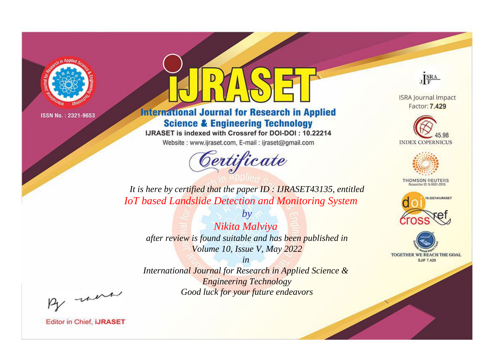

# **International Journal for Research in Applied Science & Engineering Technology**

IJRASET is indexed with Crossref for DOI-DOI: 10.22214

Website: www.ijraset.com, E-mail: ijraset@gmail.com



JERA

**ISRA Journal Impact** Factor: 7.429





**THOMSON REUTERS** 



TOGETHER WE REACH THE GOAL **SJIF 7.429** 

*It is here by certified that the paper ID : IJRASET43135, entitled IoT based Landslide Detection and Monitoring System*

*Nikita Malviya after review is found suitable and has been published in Volume 10, Issue V, May 2022*

*by*

*in* 

*International Journal for Research in Applied Science & Engineering Technology Good luck for your future endeavors*

By morn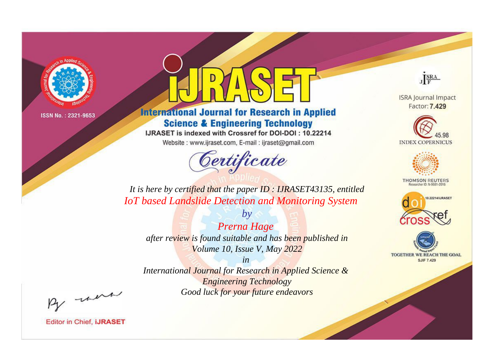

# **International Journal for Research in Applied Science & Engineering Technology**

IJRASET is indexed with Crossref for DOI-DOI: 10.22214

Website: www.ijraset.com, E-mail: ijraset@gmail.com



JERA

**ISRA Journal Impact** Factor: 7.429





**THOMSON REUTERS** 



TOGETHER WE REACH THE GOAL **SJIF 7.429** 

*It is here by certified that the paper ID : IJRASET43135, entitled IoT based Landslide Detection and Monitoring System*

*Prerna Hage after review is found suitable and has been published in Volume 10, Issue V, May 2022*

*by*

*in* 

*International Journal for Research in Applied Science & Engineering Technology Good luck for your future endeavors*

By morn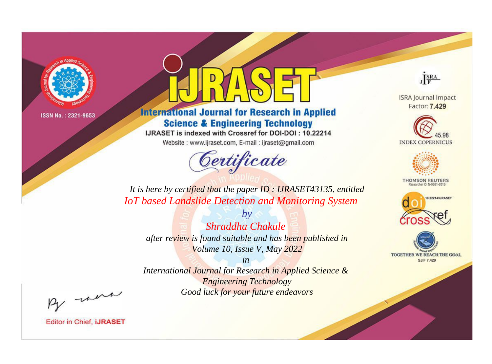

# **International Journal for Research in Applied Science & Engineering Technology**

IJRASET is indexed with Crossref for DOI-DOI: 10.22214

Website: www.ijraset.com, E-mail: ijraset@gmail.com



JERA

**ISRA Journal Impact** Factor: 7.429





**THOMSON REUTERS** 



TOGETHER WE REACH THE GOAL **SJIF 7.429** 

*It is here by certified that the paper ID : IJRASET43135, entitled IoT based Landslide Detection and Monitoring System*

*Shraddha Chakule after review is found suitable and has been published in Volume 10, Issue V, May 2022*

*by*

*in* 

*International Journal for Research in Applied Science & Engineering Technology Good luck for your future endeavors*

By morn